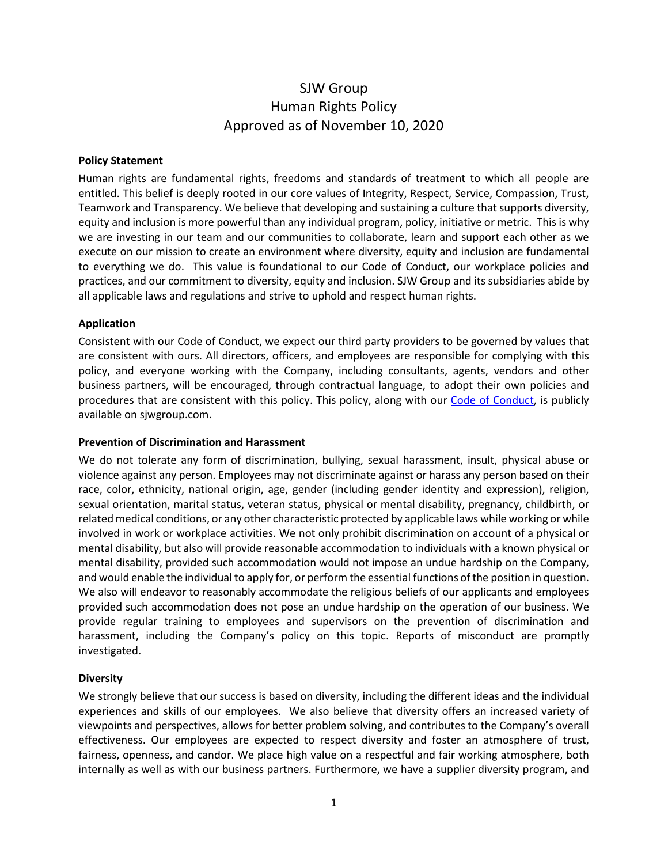# SJW Group Human Rights Policy Approved as of November 10, 2020

#### **Policy Statement**

Human rights are fundamental rights, freedoms and standards of treatment to which all people are entitled. This belief is deeply rooted in our core values of Integrity, Respect, Service, Compassion, Trust, Teamwork and Transparency. We believe that developing and sustaining a culture that supports diversity, equity and inclusion is more powerful than any individual program, policy, initiative or metric. This is why we are investing in our team and our communities to collaborate, learn and support each other as we execute on our mission to create an environment where diversity, equity and inclusion are fundamental to everything we do. This value is foundational to our Code of Conduct, our workplace policies and practices, and our commitment to diversity, equity and inclusion. SJW Group and its subsidiaries abide by all applicable laws and regulations and strive to uphold and respect human rights.

## **Application**

Consistent with our Code of Conduct, we expect our third party providers to be governed by values that are consistent with ours. All directors, officers, and employees are responsible for complying with this policy, and everyone working with the Company, including consultants, agents, vendors and other business partners, will be encouraged, through contractual language, to adopt their own policies and procedures that are consistent with this policy. This policy, along with our [Code of Conduct,](https://www.sjwgroup.com/sites/default/files/2022-05/Amended%20Code%20of%20Conduct%20-%20SJW%20FINAL%2005-12-2022.pdf) is publicly available on sjwgroup.com.

## **Prevention of Discrimination and Harassment**

We do not tolerate any form of discrimination, bullying, sexual harassment, insult, physical abuse or violence against any person. Employees may not discriminate against or harass any person based on their race, color, ethnicity, national origin, age, gender (including gender identity and expression), religion, sexual orientation, marital status, veteran status, physical or mental disability, pregnancy, childbirth, or related medical conditions, or any other characteristic protected by applicable laws while working or while involved in work or workplace activities. We not only prohibit discrimination on account of a physical or mental disability, but also will provide reasonable accommodation to individuals with a known physical or mental disability, provided such accommodation would not impose an undue hardship on the Company, and would enable the individual to apply for, or perform the essential functions of the position in question. We also will endeavor to reasonably accommodate the religious beliefs of our applicants and employees provided such accommodation does not pose an undue hardship on the operation of our business. We provide regular training to employees and supervisors on the prevention of discrimination and harassment, including the Company's policy on this topic. Reports of misconduct are promptly investigated.

# **Diversity**

We strongly believe that our success is based on diversity, including the different ideas and the individual experiences and skills of our employees. We also believe that diversity offers an increased variety of viewpoints and perspectives, allows for better problem solving, and contributes to the Company's overall effectiveness. Our employees are expected to respect diversity and foster an atmosphere of trust, fairness, openness, and candor. We place high value on a respectful and fair working atmosphere, both internally as well as with our business partners. Furthermore, we have a supplier diversity program, and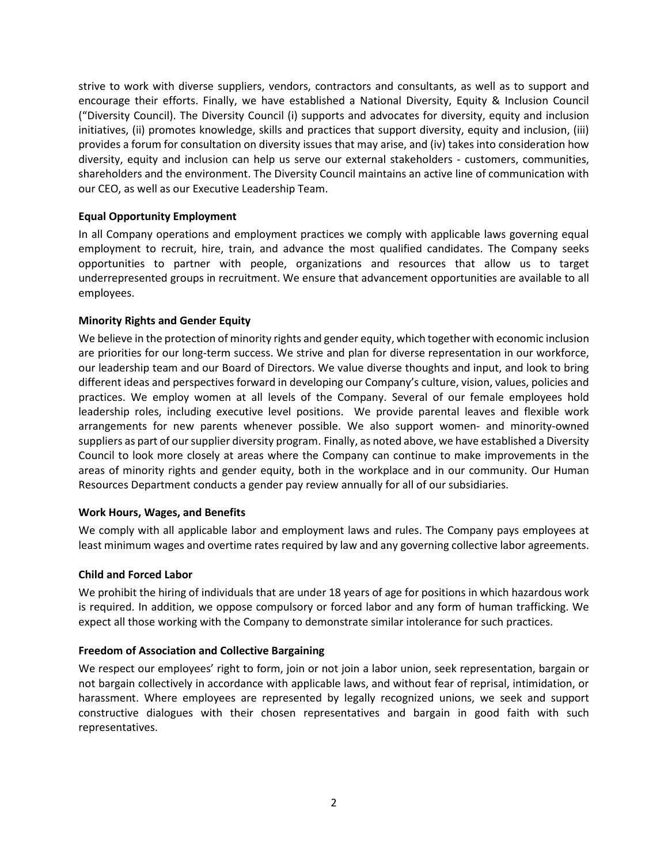strive to work with diverse suppliers, vendors, contractors and consultants, as well as to support and encourage their efforts. Finally, we have established a National Diversity, Equity & Inclusion Council ("Diversity Council). The Diversity Council (i) supports and advocates for diversity, equity and inclusion initiatives, (ii) promotes knowledge, skills and practices that support diversity, equity and inclusion, (iii) provides a forum for consultation on diversity issues that may arise, and (iv) takes into consideration how diversity, equity and inclusion can help us serve our external stakeholders - customers, communities, shareholders and the environment. The Diversity Council maintains an active line of communication with our CEO, as well as our Executive Leadership Team.

# **Equal Opportunity Employment**

In all Company operations and employment practices we comply with applicable laws governing equal employment to recruit, hire, train, and advance the most qualified candidates. The Company seeks opportunities to partner with people, organizations and resources that allow us to target underrepresented groups in recruitment. We ensure that advancement opportunities are available to all employees.

# **Minority Rights and Gender Equity**

We believe in the protection of minority rights and gender equity, which together with economic inclusion are priorities for our long-term success. We strive and plan for diverse representation in our workforce, our leadership team and our Board of Directors. We value diverse thoughts and input, and look to bring different ideas and perspectives forward in developing our Company's culture, vision, values, policies and practices. We employ women at all levels of the Company. Several of our female employees hold leadership roles, including executive level positions. We provide parental leaves and flexible work arrangements for new parents whenever possible. We also support women- and minority-owned suppliers as part of our supplier diversity program. Finally, as noted above, we have established a Diversity Council to look more closely at areas where the Company can continue to make improvements in the areas of minority rights and gender equity, both in the workplace and in our community. Our Human Resources Department conducts a gender pay review annually for all of our subsidiaries.

# **Work Hours, Wages, and Benefits**

We comply with all applicable labor and employment laws and rules. The Company pays employees at least minimum wages and overtime rates required by law and any governing collective labor agreements.

# **Child and Forced Labor**

We prohibit the hiring of individuals that are under 18 years of age for positions in which hazardous work is required. In addition, we oppose compulsory or forced labor and any form of human trafficking. We expect all those working with the Company to demonstrate similar intolerance for such practices.

# **Freedom of Association and Collective Bargaining**

We respect our employees' right to form, join or not join a labor union, seek representation, bargain or not bargain collectively in accordance with applicable laws, and without fear of reprisal, intimidation, or harassment. Where employees are represented by legally recognized unions, we seek and support constructive dialogues with their chosen representatives and bargain in good faith with such representatives.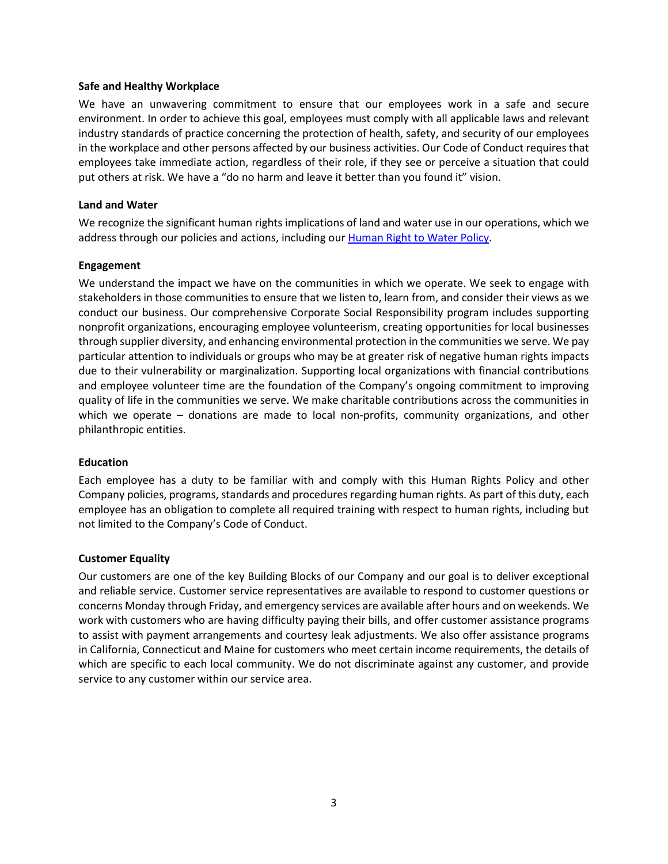### **Safe and Healthy Workplace**

We have an unwavering commitment to ensure that our employees work in a safe and secure environment. In order to achieve this goal, employees must comply with all applicable laws and relevant industry standards of practice concerning the protection of health, safety, and security of our employees in the workplace and other persons affected by our business activities. Our Code of Conduct requires that employees take immediate action, regardless of their role, if they see or perceive a situation that could put others at risk. We have a "do no harm and leave it better than you found it" vision.

## **Land and Water**

We recognize the significant human rights implications of land and water use in our operations, which we address through our policies and actions, including our [Human Right to Water Policy.](https://www.sjwgroup.com/investor_relations/corporate_charters_policies)

## **Engagement**

We understand the impact we have on the communities in which we operate. We seek to engage with stakeholders in those communities to ensure that we listen to, learn from, and consider their views as we conduct our business. Our comprehensive Corporate Social Responsibility program includes supporting nonprofit organizations, encouraging employee volunteerism, creating opportunities for local businesses through supplier diversity, and enhancing environmental protection in the communities we serve. We pay particular attention to individuals or groups who may be at greater risk of negative human rights impacts due to their vulnerability or marginalization. Supporting local organizations with financial contributions and employee volunteer time are the foundation of the Company's ongoing commitment to improving quality of life in the communities we serve. We make charitable contributions across the communities in which we operate – donations are made to local non-profits, community organizations, and other philanthropic entities.

#### **Education**

Each employee has a duty to be familiar with and comply with this Human Rights Policy and other Company policies, programs, standards and procedures regarding human rights. As part of this duty, each employee has an obligation to complete all required training with respect to human rights, including but not limited to the Company's Code of Conduct.

#### **Customer Equality**

Our customers are one of the key Building Blocks of our Company and our goal is to deliver exceptional and reliable service. Customer service representatives are available to respond to customer questions or concerns Monday through Friday, and emergency services are available after hours and on weekends. We work with customers who are having difficulty paying their bills, and offer customer assistance programs to assist with payment arrangements and courtesy leak adjustments. We also offer assistance programs in California, Connecticut and Maine for customers who meet certain income requirements, the details of which are specific to each local community. We do not discriminate against any customer, and provide service to any customer within our service area.